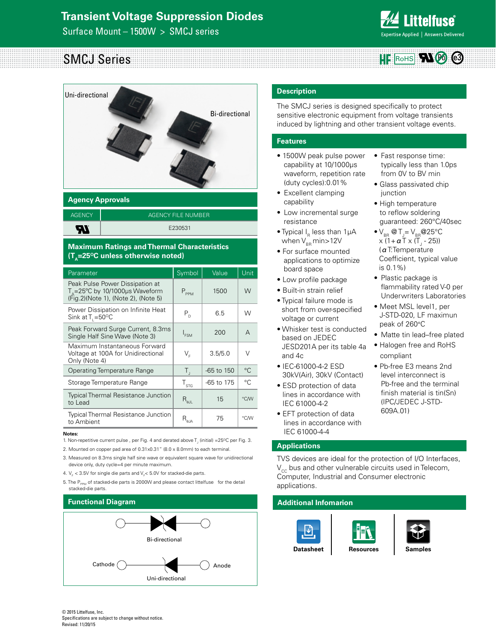Surface Mount – 1500W > SMCJ series



• Fast response time: typically less than 1.0ps from 0V to BV min • Glass passivated chip

 $\bullet$  V<sub>BR</sub> @ T<sub>J</sub>= V<sub>BR</sub> @ 25°C x (1+ **α** Τ x (Τ<sub>յ</sub> - 25)) (αT:Temperature Coefficient, typical value

• Plastic package is

peak of 260°C

compliant

609A.01)

flammability rated V-0 per Underwriters Laboratories • Meet MSL level1, per J-STD-020, LF maximun

• Matte tin lead–free plated • Halogen free and RoHS

• Pb-free E3 means 2nd level interconnect is Pb-free and the terminal finish material is tin(Sn) (IPC/JEDEC J-STD-

junction • High temperature to reflow soldering guaranteed: 260°C/40sec

is 0.1%)

#### SMCJ Series  $HF$  Rohs  $H$   $\emptyset$   $\odot$



# **Agency Approvals**

AGENCY | AGENCY FILE NUMBER E230531 **AI** 

#### **Maximum Ratings and Thermal Characteristics (T<sub>A</sub>=25<sup>o</sup>C unless otherwise noted)**

| Parameter                                                                                                              | Symbol                                             | Value          | Unit        |
|------------------------------------------------------------------------------------------------------------------------|----------------------------------------------------|----------------|-------------|
| Peak Pulse Power Dissipation at<br>$T_A = 25^{\circ}$ C by 10/1000µs Waveform<br>(Fig. 2) (Note 1), (Note 2), (Note 5) | $P_{PPM}$                                          | 1500           | W           |
| Power Dissipation on Infinite Heat<br>Sink at $T_1 = 50^{\circ}$ C                                                     | $P_{D}$                                            | 6.5            | W           |
| Peak Forward Surge Current, 8.3ms<br>Single Half Sine Wave (Note 3)                                                    | $I_{FSM}$                                          | 200            | A           |
| Maximum Instantaneous Forward<br>Voltage at 100A for Unidirectional<br>Only (Note 4)                                   | $V_{\varepsilon}$                                  | 3.5/5.0        | $\vee$      |
| <b>Operating Temperature Range</b>                                                                                     | $T_{\rm a}$                                        | $-65$ to $150$ | °C          |
| Storage Temperature Range                                                                                              | $T_{\text{STG}}$                                   | -65 to 175     | $^{\circ}C$ |
| <b>Typical Thermal Resistance Junction</b><br>to Lead                                                                  | $R_{\theta JL}$                                    | 15             | °C/W        |
| <b>Typical Thermal Resistance Junction</b><br>to Ambient                                                               | $\mathsf{R}_{\scriptscriptstyle\theta\mathsf{JA}}$ | 75             | °C/W        |

#### **Notes:**

1. Non-repetitive current pulse, per Fig. 4 and derated above  $T_{j}$  (initial) =25°C per Fig. 3.

2. Mounted on copper pad area of 0.31x0.31" (8.0 x 8.0mm) to each terminal.

3. Measured on 8.3ms single half sine wave or equivalent square wave for unidirectional device only, duty cycle=4 per minute maximum.

4.  $V_F$  < 3.5V for single die parts and  $V_F$ < 5.0V for stacked-die parts.

5. The P<sub>PPM</sub> of stacked-die parts is 2000W and please contact littelfuse for the detail stacked-die parts.

## **Functional Diagram**



#### **Description**

The SMCJ series is designed specifically to protect sensitive electronic equipment from voltage transients induced by lightning and other transient voltage events.

#### **Features**

- 1500W peak pulse power capability at 10/1000μs waveform, repetition rate (duty cycles):0.01%
- Excellent clamping capability
- Low incremental surge resistance
- Typical  $I<sub>e</sub>$  less than 1µA when  $V_{BB}$  min > 12V
- For surface mounted applications to optimize board space
- Low profile package
- Built-in strain relief
- Typical failure mode is short from over-specified voltage or current
- Whisker test is conducted based on JEDEC JESD201A per its table 4a and 4c
- IEC-61000-4-2 ESD 30kV(Air), 30kV (Contact)
- ESD protection of data lines in accordance with IEC 61000-4-2
- EFT protection of data lines in accordance with IEC 61000-4-4

#### **Applications**

TVS devices are ideal for the protection of I/O Interfaces,  $V_{cc}$  bus and other vulnerable circuits used in Telecom, Computer, Industrial and Consumer electronic applications.

#### **Additional Infomarion**





© 2015 Littelfuse, Inc. Specifications are subject to change without notice. Revised: 11/20/15

**[Resources](http://www.littelfuse.com/products/tvs-diodes/surface-mount/smcj#TechnicalResources) [Samples](http://www.littelfuse.com/products/tvs-diodes/surface-mount/smcj#ElectricalCharacteristics)**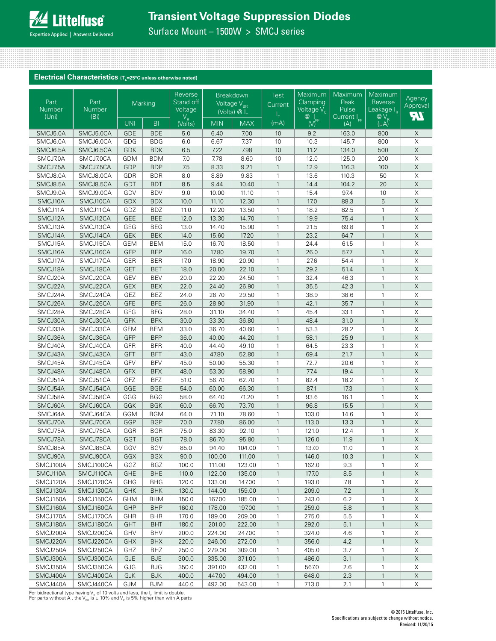Surface Mount – 1500W > SMCJ series

#### Electrical Characteristics (T<sub>A</sub>=25°C unless otherwise noted)

| Part<br>Number<br>(Uni) | Part<br>Number<br>(Bi) |            | Marking        | Reverse<br>Stand off<br>Voltage |            | <b>Breakdown</b><br>Voltage V <sub>BR</sub><br>(Volts) $@I_{T}$ | <b>Test</b><br>Current<br>۱+ | Maximum<br>Clamping<br>Voltage $\sqrt{\ }_{c}$                                               | Maximum<br>Peak<br>Pulse<br>Current I <sub>pp</sub> | Maximum<br>Reverse<br>Leakage IR              | Agency<br>Approval<br><b>FT.</b> |
|-------------------------|------------------------|------------|----------------|---------------------------------|------------|-----------------------------------------------------------------|------------------------------|----------------------------------------------------------------------------------------------|-----------------------------------------------------|-----------------------------------------------|----------------------------------|
|                         |                        | <b>UNI</b> | B <sub>1</sub> | $V_R$<br>(Volts)                | <b>MIN</b> | <b>MAX</b>                                                      | (mA)                         | $\begin{matrix} \mathbf{Q} & \mathbf{I}_{\text{pp}} \\ \mathbf{W} & \mathbf{W} \end{matrix}$ | (A)                                                 | $\begin{matrix} @V_R\\ ( \mu A) \end{matrix}$ |                                  |
| SMCJ5.0A                | SMCJ5.0CA              | <b>GDE</b> | <b>BDE</b>     | 5.0                             | 6.40       | 7.00                                                            | 10 <sup>°</sup>              | 9.2                                                                                          | 163.0                                               | 800                                           | X                                |
| SMCJ6.0A                | SMCJ6.0CA              | GDG        | <b>BDG</b>     | 6.0                             | 6.67       | 7.37                                                            | 10                           | 10.3                                                                                         | 145.7                                               | 800                                           | $\overline{X}$                   |
| SMCJ6.5A                | SMCJ6.5CA              | <b>GDK</b> | <b>BDK</b>     | 6.5                             | 7.22       | 7.98                                                            | 10                           | 11.2                                                                                         | 134.0                                               | 500                                           | $\overline{X}$                   |
| SMCJ7.0A                | SMCJ7.0CA              | <b>GDM</b> | <b>BDM</b>     | 7.0                             | 7.78       | 8.60                                                            | 10                           | 12.0                                                                                         | 125.0                                               | 200                                           | $\mathsf X$                      |
| SMCJ7.5A                | SMCJ7.5CA              | GDP        | <b>BDP</b>     | 7.5                             | 8.33       | 9.21                                                            | $\mathbf{1}$                 | 12.9                                                                                         | 116.3                                               | 100                                           | $\mathsf X$                      |
| SMCJ8.0A                | SMCJ8.0CA              | GDR        | <b>BDR</b>     | 8.0                             | 8.89       | 9.83                                                            | $\mathbf{1}$                 | 13.6                                                                                         | 110.3                                               | 50                                            | $\mathsf X$                      |
| SMCJ8.5A                | SMCJ8.5CA              | GDT        | <b>BDT</b>     | 8.5                             | 9.44       | 10.40                                                           | $\mathbf{1}$                 | 14.4                                                                                         | 104.2                                               | 20                                            | $\overline{\mathsf{X}}$          |
| SMCJ9.0A                | SMCJ9.0CA              | GDV        | <b>BDV</b>     | 9.0                             | 10.00      | 11.10                                                           | $\mathbf{1}$                 | 15.4                                                                                         | 97.4                                                | 10                                            | $\overline{\mathsf{X}}$          |
| SMCJ10A                 | SMCJ10CA               | <b>GDX</b> | <b>BDX</b>     | 10.0                            | 11.10      | 12.30                                                           | $\mathbf{1}$                 | 17.0                                                                                         | 88.3                                                | 5                                             | $\mathsf X$                      |
| SMCJ11A                 | SMCJ11CA               | GDZ        | <b>BDZ</b>     | 11.0                            | 12.20      | 13.50                                                           | $\mathbf{1}$                 | 18.2                                                                                         | 82.5                                                | 1                                             | $\overline{\mathsf{X}}$          |
| SMCJ12A                 | SMCJ12CA               | <b>GEE</b> | <b>BEE</b>     | 12.0                            | 13.30      | 14.70                                                           | $\mathbf{1}$                 | 19.9                                                                                         | 75.4                                                | $\mathbf{1}$                                  | $\overline{\mathsf{X}}$          |
| SMCJ13A                 | SMCJ13CA               | GEG        | <b>BEG</b>     | 13.0                            | 14.40      | 15.90                                                           | $\mathbf{1}$                 | 21.5                                                                                         | 69.8                                                | $\mathbf{1}$                                  | $\overline{\mathsf{X}}$          |
| SMCJ14A                 | SMCJ14CA               | GEK        | <b>BEK</b>     | 14.0                            | 15.60      | 17.20                                                           | $\mathbf{1}$                 | 23.2                                                                                         | 64.7                                                | $\mathbf{1}$                                  | $\mathsf X$                      |
| SMCJ15A                 | SMCJ15CA               | <b>GEM</b> | <b>BEM</b>     | 15.0                            | 16.70      | 18.50                                                           | $\mathbf{1}$                 | 24.4                                                                                         | 61.5                                                | $\mathbf{1}$                                  | $\overline{\mathsf{X}}$          |
| SMCJ16A                 | SMCJ16CA               | <b>GEP</b> | <b>BEP</b>     | 16.0                            | 17.80      | 19.70                                                           | $\mathbf{1}$                 | 26.0                                                                                         | 57.7                                                | $\mathbf{1}$                                  | $\overline{\mathsf{X}}$          |
| SMCJ17A                 | SMCJ17CA               | GER        | <b>BER</b>     | 17.0                            | 18.90      | 20.90                                                           | $\mathbf{1}$                 | 27.6                                                                                         | 54.4                                                | $\mathbf{1}$                                  | $\overline{\mathsf{X}}$          |
| SMCJ18A                 | SMCJ18CA               | GET        | <b>BET</b>     | 18.0                            | 20.00      | 22.10                                                           | $\mathbf{1}$                 | 29.2                                                                                         | 51.4                                                | $\mathbf{1}$                                  | $\overline{\mathsf{X}}$          |
| SMCJ20A                 | SMCJ20CA               | GEV        | <b>BEV</b>     | 20.0                            | 22.20      | 24.50                                                           | $\mathbf{1}$                 | 32.4                                                                                         | 46.3                                                | $\mathbf{1}$                                  | $\mathsf X$                      |
| SMCJ22A                 | SMCJ22CA               | GEX        | <b>BEX</b>     | 22.0                            | 24.40      | 26.90                                                           | $\mathbf{1}$                 | 35.5                                                                                         | 42.3                                                | $\mathbf{1}$                                  | $\overline{\mathsf{X}}$          |
| SMCJ24A                 | SMCJ24CA               | GEZ        | <b>BEZ</b>     | 24.0                            | 26.70      | 29.50                                                           | $\mathbf{1}$                 | 38.9                                                                                         | 38.6                                                | $\mathbf{1}$                                  | $\overline{\mathsf{X}}$          |
| SMCJ26A                 | SMCJ26CA               | <b>GFE</b> | <b>BFE</b>     | 26.0                            | 28.90      | 31.90                                                           | $\mathbf{1}$                 | 42.1                                                                                         | 35.7                                                | $\mathbf{1}$                                  | $\overline{\mathsf{X}}$          |
| SMCJ28A                 | SMCJ28CA               | GFG        | <b>BFG</b>     | 28.0                            | 31.10      | 34.40                                                           | $\mathbf{1}$                 | 45.4                                                                                         | 33.1                                                | $\mathbf{1}$                                  | X                                |
| SMCJ30A                 | SMCJ30CA               | GFK        | <b>BFK</b>     | 30.0                            | 33.30      | 36.80                                                           | $\mathbf{1}$                 | 48.4                                                                                         | 31.0                                                | $\mathbf{1}$                                  | $\overline{\mathsf{X}}$          |
| SMCJ33A                 | SMCJ33CA               | <b>GFM</b> | <b>BFM</b>     | 33.0                            | 36.70      | 40.60                                                           | $\mathbf{1}$                 | 53.3                                                                                         | 28.2                                                | $\mathbf{1}$                                  | $\overline{\mathsf{X}}$          |
| SMCJ36A                 | SMCJ36CA               | GFP        | <b>BFP</b>     | 36.0                            | 40.00      | 44.20                                                           | $\mathbf{1}$                 | 58.1                                                                                         | 25.9                                                | $\mathbf{1}$                                  | $\overline{\mathsf{X}}$          |
| SMCJ40A                 | SMCJ40CA               | GFR        | <b>BFR</b>     | 40.0                            | 44.40      | 49.10                                                           | $\mathbf{1}$                 | 64.5                                                                                         | 23.3                                                | $\mathbf{1}$                                  | $\mathsf X$                      |
| SMCJ43A                 | SMCJ43CA               | GFT        | <b>BFT</b>     | 43.0                            | 47.80      | 52.80                                                           | $\mathbf{1}$                 | 69.4                                                                                         | 21.7                                                | $\mathbf{1}$                                  | $\overline{\mathsf{X}}$          |
| SMCJ45A                 | SMCJ45CA               | GFV        | <b>BFV</b>     | 45.0                            | 50.00      | 55.30                                                           | $\mathbf{1}$                 | 72.7                                                                                         | 20.6                                                | $\mathbf{1}$                                  | $\overline{\mathsf{x}}$          |
| SMCJ48A                 | SMCJ48CA               | <b>GFX</b> | <b>BFX</b>     | 48.0                            | 53.30      | 58.90                                                           | $\mathbf{1}$                 | 77.4                                                                                         | 19.4                                                | $\mathbf{1}$                                  | $\overline{\mathsf{X}}$          |
| SMCJ51A                 | SMCJ51CA               | GFZ        | <b>BFZ</b>     | 51.0                            | 56.70      | 62.70                                                           | $\mathbf{1}$                 | 82.4                                                                                         | 18.2                                                | $\mathbf{1}$                                  | $\mathsf X$                      |
| SMCJ54A                 | SMCJ54CA               | GGE        | <b>BGE</b>     | 54.0                            | 60.00      | 66.30                                                           | $\mathbf{1}$                 | 87.1                                                                                         | 17.3                                                | $\mathbf{1}$                                  | $\overline{\mathsf{X}}$          |
| SMCJ58A                 | SMCJ58CA               | GGG        | <b>BGG</b>     | 58.0                            | 64.40      | 71.20                                                           | $\mathbf{1}$                 | 93.6                                                                                         | 16.1                                                | $\mathbf{1}$                                  | $\mathsf X$                      |
| SMCJ60A                 | SMCJ60CA               | GGK        | <b>BGK</b>     | 60.0                            | 66.70      | 73.70                                                           | $\mathbf{1}$                 | 96.8                                                                                         | 15.5                                                | $\mathbf{1}$                                  | $\mathsf X$                      |
| SMCJ64A                 | SMCJ64CA               | GGM        | <b>BGM</b>     | 64.0                            | 71.10      | 78.60                                                           | $\mathbf{1}$                 | 103.0                                                                                        | 14.6                                                | $\mathbf{1}$                                  | $\mathsf X$                      |
| SMCJ70A                 | SMCJ70CA               | GGP        | <b>BGP</b>     | 70.0                            | 77.80      | 86.00                                                           | $\mathbf{1}$                 | 113.0                                                                                        | 13.3                                                | $\mathbf{1}$                                  | $\overline{X}$                   |
| SMCJ75A                 | SMCJ75CA               | GGR        | <b>BGR</b>     | 75.0                            | 83.30      | 92.10                                                           | $\mathbf{1}$                 | 121.0                                                                                        | 12.4                                                | $\mathbf{1}$                                  | $\mathsf X$                      |
| SMCJ78A                 | SMCJ78CA               | GGT        | <b>BGT</b>     | 78.0                            | 86.70      | 95.80                                                           | $\mathbf{1}$                 | 126.0                                                                                        | 11.9                                                | $\mathbf{1}$                                  | $\overline{\mathsf{X}}$          |
| SMCJ85A                 | SMCJ85CA               | GGV        | <b>BGV</b>     | 85.0                            | 94.40      | 104.00                                                          | $\mathbf{1}$                 | 137.0                                                                                        | 11.0                                                | $\mathbf{1}$                                  | $\overline{\mathsf{X}}$          |
| SMCJ90A                 | SMCJ90CA               | GGX        | <b>BGX</b>     | 90.0                            | 100.00     | 111.00                                                          | $\mathbf{1}$                 | 146.0                                                                                        | 10.3                                                | 1                                             | $\mathsf X$                      |
| SMCJ100A                | SMCJ100CA              | GGZ        | BGZ            | 100.0                           | 111.00     | 123.00                                                          | $\mathbf{1}$                 | 162.0                                                                                        | 9.3                                                 | $\mathbf{1}$                                  | X                                |
| SMCJ110A                | SMCJ110CA              | <b>GHE</b> | <b>BHE</b>     | 110.0                           | 122.00     | 135.00                                                          | $\mathbf{1}$                 | 177.0                                                                                        | 8.5                                                 | $\mathbf{1}$                                  | X                                |
| SMCJ120A                | SMCJ120CA              | GHG        | <b>BHG</b>     | 120.0                           | 133.00     | 147.00                                                          | 1                            | 193.0                                                                                        | 7.8                                                 | 1                                             | X                                |
| SMCJ130A                | SMCJ130CA              | <b>GHK</b> | <b>BHK</b>     | 130.0                           | 144.00     | 159.00                                                          | $\mathbf{1}$                 | 209.0                                                                                        | 7.2                                                 | $\mathbf{1}$                                  | $\mathsf X$                      |
| SMCJ150A                | SMCJ150CA              | <b>GHM</b> | <b>BHM</b>     | 150.0                           | 167.00     | 185.00                                                          | 1                            | 243.0                                                                                        | 6.2                                                 | $\mathbf{1}$                                  | X                                |
| SMCJ160A                | SMCJ160CA              | GHP        | <b>BHP</b>     | 160.0                           | 178.00     | 197.00                                                          | $\mathbf{1}$                 | 259.0                                                                                        | 5.8                                                 | $\mathbf{1}$                                  | X                                |
| SMCJ170A                | SMCJ170CA              | GHR        | BHR            | 170.0                           | 189.00     | 209.00                                                          | $\mathbf{1}$                 | 275.0                                                                                        | 5.5                                                 | 1                                             | X                                |
| SMCJ180A                | SMCJ180CA              | GHT        | <b>BHT</b>     | 180.0                           | 201.00     | 222.00                                                          | $\mathbf{1}$                 | 292.0                                                                                        | 5.1                                                 | $\mathbf{1}$                                  | $\mathsf X$                      |
| SMCJ200A                | SMCJ200CA              | GHV        | BHV            | 200.0                           | 224.00     | 247.00                                                          | $\mathbf{1}$                 | 324.0                                                                                        | 4.6                                                 | $\mathbf{1}$                                  | X                                |
| SMCJ220A                | SMCJ220CA              | <b>GHX</b> | <b>BHX</b>     | 220.0                           | 246.00     | 272.00                                                          | $\mathbf{1}$                 | 356.0                                                                                        | 4.2                                                 | $\mathbf{1}$                                  | X                                |
| SMCJ250A                | SMCJ250CA              | GHZ        | BHZ            | 250.0                           | 279.00     | 309.00                                                          | $\mathbf{1}$                 | 405.0                                                                                        | 3.7                                                 | $\mathbf{1}$                                  | Х                                |
| SMCJ300A                | SMCJ300CA              | <b>GJE</b> | <b>BJE</b>     | 300.0                           | 335.00     | 371.00                                                          | $\mathbf{1}$                 | 486.0                                                                                        | 3.1                                                 | $\mathbf{1}$                                  | $\mathsf X$                      |
| SMCJ350A                | SMCJ350CA              | GJG        | <b>BJG</b>     | 350.0                           | 391.00     | 432.00                                                          | 1                            | 567.0                                                                                        | 2.6                                                 | $\mathbf{1}$                                  | X                                |
| SMCJ400A                | SMCJ400CA              | <b>GJK</b> | <b>BJK</b>     | 400.0                           | 447.00     | 494.00                                                          | $\mathbf{1}$                 | 648.0                                                                                        | 2.3                                                 | $\mathbf{1}$                                  | X                                |
| SMCJ440A                | SMCJ440CA              | <b>GJM</b> | <b>BJM</b>     | 440.0                           | 492.00     | 543.00                                                          | $\mathbf{1}$                 | 713.0                                                                                        | 2.1                                                 | $\mathbf{1}$                                  | Χ                                |
|                         |                        |            |                |                                 |            |                                                                 |                              |                                                                                              |                                                     |                                               |                                  |

For bidirectional type having V<sub>R</sub> of 10 volts and less, the I<sub>R</sub> limit is double.<br>For parts without A , the V<sub>BR</sub> is ± 10% and V<sub>c</sub> is 5% higher than with A parts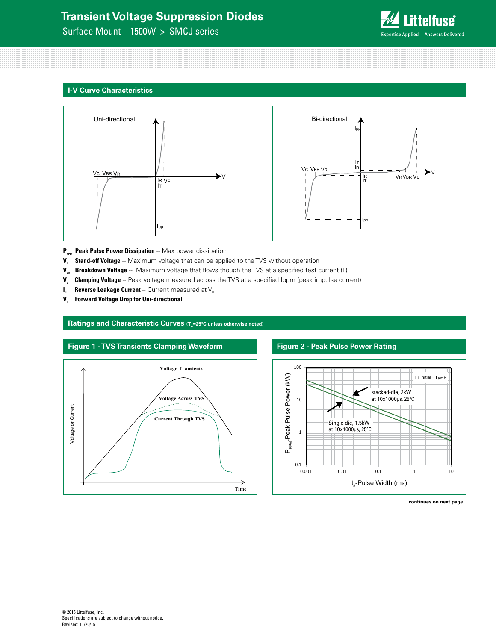Surface Mount – 1500W > SMCJ series



#### **I-V Curve Characteristics**





- P<sub>PPM</sub> Peak Pulse Power Dissipation -- Max power dissipation
- **V<sub>s</sub>** Stand-off Voltage -- Maximum voltage that can be applied to the TVS without operation
- **V<sub>BR</sub> Breakdown Voltage** -- Maximum voltage that flows though the TVS at a specified test current (I<sub>r</sub>)
- V<sub>c</sub> Clamping Voltage -- Peak voltage measured across the TVS at a specified Ippm (peak impulse current)
- $I_{R}$  **Reverse Leakage Current** -- Current measured at  $V_{R}$
- **V.** Forward Voltage Drop for Uni-directional

#### Ratings and Characteristic Curves (T<sub>A</sub>=25°C unless otherwise noted)



#### **Figure 2 - Peak Pulse Power Rating**



#### **continues on next page.**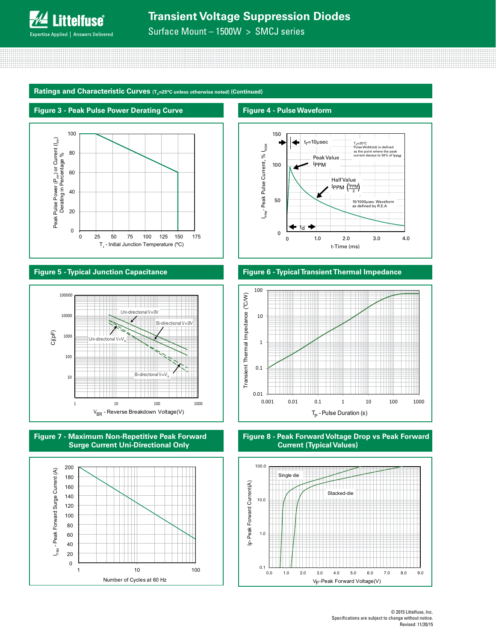

Surface Mount – 1500W > SMCJ series

Ratings and Characteristic Curves (T<sub>A</sub>=25°C unless otherwise noted) (Continued)



#### **Figure 5 - Typical Junction Capacitance**









**Figure 4 - Pulse Waveform**



t-Time (ms)





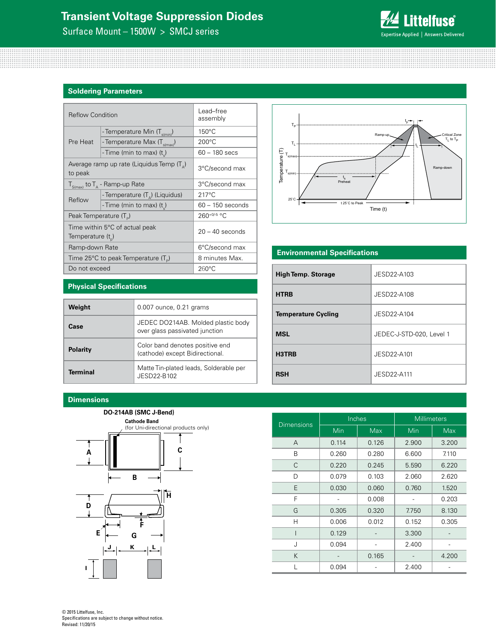Surface Mount – 1500W > SMCJ series



#### **Soldering Parameters**

| <b>Reflow Condition</b>            |                                                    | Lead–free<br>assembly |  |
|------------------------------------|----------------------------------------------------|-----------------------|--|
|                                    | - Temperature Min (T <sub>s(min</sub> )            | $150^{\circ}$ C       |  |
| Pre Heat                           | - Temperature Max (T <sub>s(max)</sub> )           | $200^{\circ}$ C       |  |
|                                    | - Time (min to max) (t)                            | 60 - 180 secs         |  |
| to peak                            | Average ramp up rate (Liquidus Temp $(T_{\Delta})$ | 3°C/second max        |  |
|                                    | $T_{S(max)}$ to $T_A$ - Ramp-up Rate               | 3°C/second max        |  |
| Reflow                             | - Temperature $(T_{\Delta})$ (Liquidus)            | $217^{\circ}$ C       |  |
|                                    | - Time (min to max) (t)                            | $60 - 150$ seconds    |  |
| Peak Temperature (T <sub>D</sub> ) |                                                    | 260+0/-5 °C           |  |
| Temperature $(t_{n})$              | Time within 5°C of actual peak                     | $20 - 40$ seconds     |  |
| Ramp-down Rate                     |                                                    | 6°C/second max        |  |
|                                    | Time 25°C to peak Temperature (T <sub>a</sub> )    | 8 minutes Max.        |  |
| Do not exceed                      |                                                    | $260^{\circ}$ C       |  |



#### **Environmental Specifications**

| <b>High Temp. Storage</b>  | JESD22-A103              |
|----------------------------|--------------------------|
| <b>HTRB</b>                | JESD22-A108              |
| <b>Temperature Cycling</b> | JESD22-A104              |
| <b>MSL</b>                 | JEDEC-J-STD-020, Level 1 |
| H3TRB                      | JESD22-A101              |
| <b>RSH</b>                 | JFSD22-A111              |

#### **Physical Specifications**

| Weight          | 0.007 ounce, 0.21 grams                                              |
|-----------------|----------------------------------------------------------------------|
| Case            | JEDEC DO214AB. Molded plastic body<br>over glass passivated junction |
| <b>Polarity</b> | Color band denotes positive end<br>(cathode) except Bidirectional.   |
| <b>Terminal</b> | Matte Tin-plated leads, Solderable per<br>JFSD22-B102                |

#### **Dimensions**

**A**

# **DO-214AB (SMC J-Bend) C Cathode Band** (for Uni-directional products only)



| Dimensions |            | Inches     | <b>Millimeters</b> |            |  |
|------------|------------|------------|--------------------|------------|--|
|            | <b>Min</b> | <b>Max</b> | Min                | <b>Max</b> |  |
| A          | 0.114      | 0.126      | 2.900              | 3.200      |  |
| B          | 0.260      | 0.280      | 6.600              | 7.110      |  |
| C          | 0.220      | 0.245      | 5.590              | 6.220      |  |
| D          | 0.079      | 0.103      | 2.060              | 2.620      |  |
| E          | 0.030      | 0.060      | 0.760              | 1.520      |  |
| F          |            | 0.008      |                    | 0.203      |  |
| G          | 0.305      | 0.320      | 7.750              | 8.130      |  |
| Н          | 0.006      | 0.012      | 0.152              | 0.305      |  |
|            | 0.129      |            | 3.300              |            |  |
| J          | 0.094      |            | 2.400              |            |  |
| K          |            | 0.165      |                    | 4.200      |  |
|            | 0.094      |            | 2.400              |            |  |

© 2015 Littelfuse, Inc. Specifications are subject to change without notice. Revised: 11/20/15